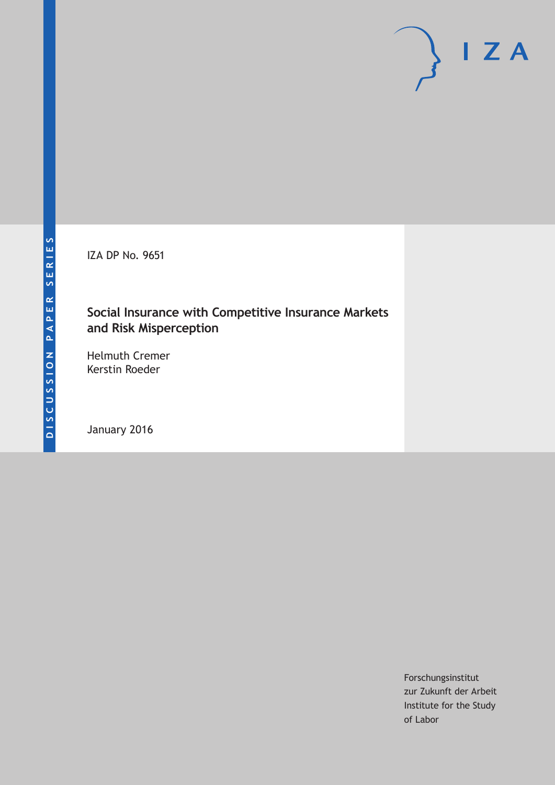IZA DP No. 9651

## **Social Insurance with Competitive Insurance Markets and Risk Misperception**

Helmuth Cremer Kerstin Roeder

January 2016

Forschungsinstitut zur Zukunft der Arbeit Institute for the Study of Labor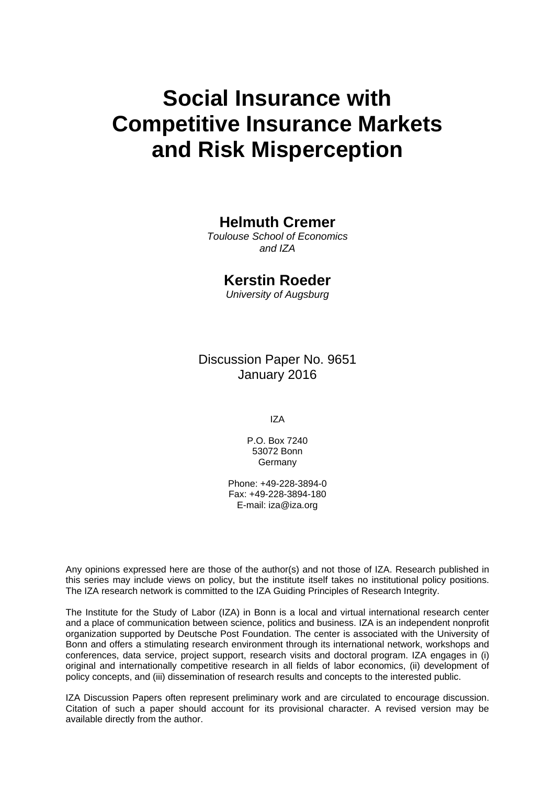# **Social Insurance with Competitive Insurance Markets and Risk Misperception**

## **Helmuth Cremer**

*Toulouse School of Economics and IZA* 

## **Kerstin Roeder**

*University of Augsburg* 

Discussion Paper No. 9651 January 2016

IZA

P.O. Box 7240 53072 Bonn Germany

Phone: +49-228-3894-0 Fax: +49-228-3894-180 E-mail: iza@iza.org

Any opinions expressed here are those of the author(s) and not those of IZA. Research published in this series may include views on policy, but the institute itself takes no institutional policy positions. The IZA research network is committed to the IZA Guiding Principles of Research Integrity.

The Institute for the Study of Labor (IZA) in Bonn is a local and virtual international research center and a place of communication between science, politics and business. IZA is an independent nonprofit organization supported by Deutsche Post Foundation. The center is associated with the University of Bonn and offers a stimulating research environment through its international network, workshops and conferences, data service, project support, research visits and doctoral program. IZA engages in (i) original and internationally competitive research in all fields of labor economics, (ii) development of policy concepts, and (iii) dissemination of research results and concepts to the interested public.

IZA Discussion Papers often represent preliminary work and are circulated to encourage discussion. Citation of such a paper should account for its provisional character. A revised version may be available directly from the author.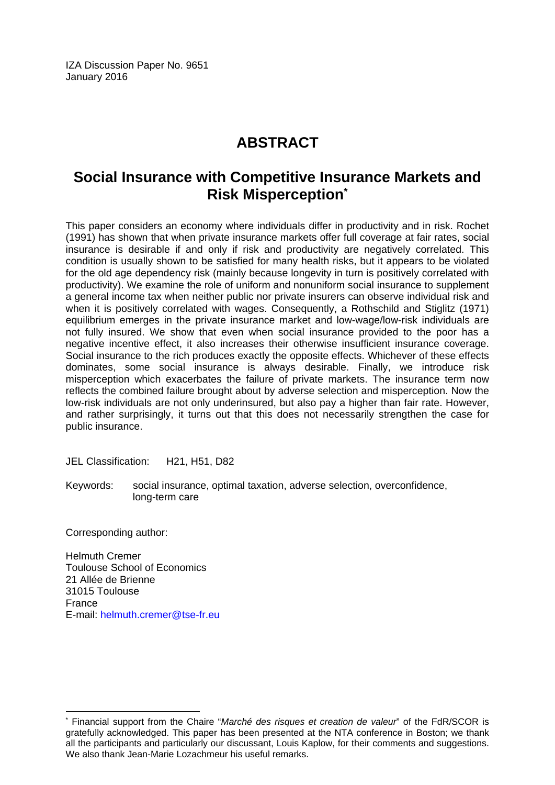IZA Discussion Paper No. 9651 January 2016

## **ABSTRACT**

## **Social Insurance with Competitive Insurance Markets and Risk Misperception\***

This paper considers an economy where individuals differ in productivity and in risk. Rochet (1991) has shown that when private insurance markets offer full coverage at fair rates, social insurance is desirable if and only if risk and productivity are negatively correlated. This condition is usually shown to be satisfied for many health risks, but it appears to be violated for the old age dependency risk (mainly because longevity in turn is positively correlated with productivity). We examine the role of uniform and nonuniform social insurance to supplement a general income tax when neither public nor private insurers can observe individual risk and when it is positively correlated with wages. Consequently, a Rothschild and Stiglitz (1971) equilibrium emerges in the private insurance market and low-wage/low-risk individuals are not fully insured. We show that even when social insurance provided to the poor has a negative incentive effect, it also increases their otherwise insufficient insurance coverage. Social insurance to the rich produces exactly the opposite effects. Whichever of these effects dominates, some social insurance is always desirable. Finally, we introduce risk misperception which exacerbates the failure of private markets. The insurance term now reflects the combined failure brought about by adverse selection and misperception. Now the low-risk individuals are not only underinsured, but also pay a higher than fair rate. However, and rather surprisingly, it turns out that this does not necessarily strengthen the case for public insurance.

JEL Classification: H21, H51, D82

Keywords: social insurance, optimal taxation, adverse selection, overconfidence, long-term care

Corresponding author:

 $\overline{\phantom{a}}$ 

Helmuth Cremer Toulouse School of Economics 21 Allée de Brienne 31015 Toulouse France E-mail: helmuth.cremer@tse-fr.eu

<sup>\*</sup> Financial support from the Chaire "*Marché des risques et creation de valeur*" of the FdR/SCOR is gratefully acknowledged. This paper has been presented at the NTA conference in Boston; we thank all the participants and particularly our discussant, Louis Kaplow, for their comments and suggestions. We also thank Jean-Marie Lozachmeur his useful remarks.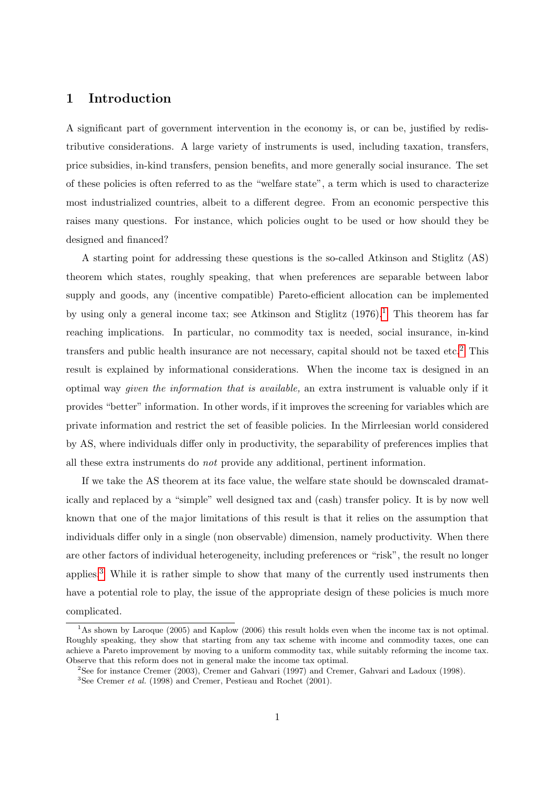## 1 Introduction

A significant part of government intervention in the economy is, or can be, justified by redistributive considerations. A large variety of instruments is used, including taxation, transfers, price subsidies, in-kind transfers, pension benefits, and more generally social insurance. The set of these policies is often referred to as the "welfare state", a term which is used to characterize most industrialized countries, albeit to a different degree. From an economic perspective this raises many questions. For instance, which policies ought to be used or how should they be designed and financed?

A starting point for addressing these questions is the so-called Atkinson and Stiglitz (AS) theorem which states, roughly speaking, that when preferences are separable between labor supply and goods, any (incentive compatible) Pareto-efficient allocation can be implemented by using only a general income tax; see Atkinson and Stiglitz  $(1976)$  $(1976)$  $(1976)$ .<sup>1</sup> This theorem has far reaching implications. In particular, no commodity tax is needed, social insurance, in-kind transfers and public health insurance are not necessary, capital should not be taxed etc.<sup>[2](#page--1-0)</sup> This result is explained by informational considerations. When the income tax is designed in an optimal way given the information that is available, an extra instrument is valuable only if it provides "better" information. In other words, if it improves the screening for variables which are private information and restrict the set of feasible policies. In the Mirrleesian world considered by AS, where individuals differ only in productivity, the separability of preferences implies that all these extra instruments do not provide any additional, pertinent information.

If we take the AS theorem at its face value, the welfare state should be downscaled dramatically and replaced by a "simple" well designed tax and (cash) transfer policy. It is by now well known that one of the major limitations of this result is that it relies on the assumption that individuals differ only in a single (non observable) dimension, namely productivity. When there are other factors of individual heterogeneity, including preferences or "risk", the result no longer applies.[3](#page--1-0) While it is rather simple to show that many of the currently used instruments then have a potential role to play, the issue of the appropriate design of these policies is much more complicated.

<sup>&</sup>lt;sup>1</sup>As shown by Laroque (2005) and Kaplow (2006) this result holds even when the income tax is not optimal. Roughly speaking, they show that starting from any tax scheme with income and commodity taxes, one can achieve a Pareto improvement by moving to a uniform commodity tax, while suitably reforming the income tax. Observe that this reform does not in general make the income tax optimal.

<sup>2</sup>See for instance Cremer (2003), Cremer and Gahvari (1997) and Cremer, Gahvari and Ladoux (1998).

 ${}^{3}$ See Cremer *et al.* (1998) and Cremer, Pestieau and Rochet (2001).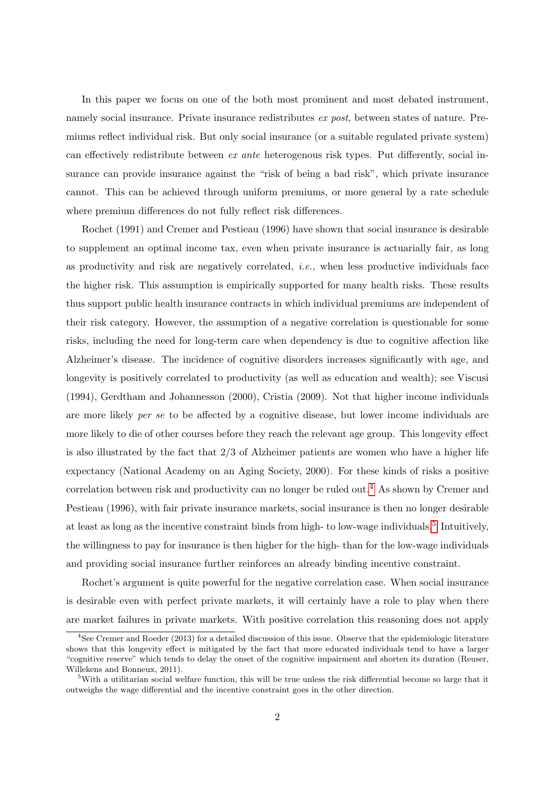In this paper we focus on one of the both most prominent and most debated instrument, namely social insurance. Private insurance redistributes ex post, between states of nature. Premiums reflect individual risk. But only social insurance (or a suitable regulated private system) can effectively redistribute between  $ex$  ante heterogenous risk types. Put differently, social insurance can provide insurance against the "risk of being a bad risk", which private insurance cannot. This can be achieved through uniform premiums, or more general by a rate schedule where premium differences do not fully reflect risk differences.

Rochet (1991) and Cremer and Pestieau (1996) have shown that social insurance is desirable to supplement an optimal income tax, even when private insurance is actuarially fair, as long as productivity and risk are negatively correlated, i.e., when less productive individuals face the higher risk. This assumption is empirically supported for many health risks. These results thus support public health insurance contracts in which individual premiums are independent of their risk category. However, the assumption of a negative correlation is questionable for some risks, including the need for long-term care when dependency is due to cognitive affection like Alzheimer's disease. The incidence of cognitive disorders increases significantly with age, and longevity is positively correlated to productivity (as well as education and wealth); see Viscusi (1994), Gerdtham and Johannesson (2000), Cristia (2009). Not that higher income individuals are more likely per se to be affected by a cognitive disease, but lower income individuals are more likely to die of other courses before they reach the relevant age group. This longevity effect is also illustrated by the fact that 2/3 of Alzheimer patients are women who have a higher life expectancy (National Academy on an Aging Society, 2000). For these kinds of risks a positive correlation between risk and productivity can no longer be ruled out.[4](#page--1-0) As shown by Cremer and Pestieau (1996), with fair private insurance markets, social insurance is then no longer desirable at least as long as the incentive constraint binds from high- to low-wage individuals.<sup>[5](#page--1-0)</sup> Intuitively, the willingness to pay for insurance is then higher for the high- than for the low-wage individuals and providing social insurance further reinforces an already binding incentive constraint.

Rochet's argument is quite powerful for the negative correlation case. When social insurance is desirable even with perfect private markets, it will certainly have a role to play when there are market failures in private markets. With positive correlation this reasoning does not apply

 $^{4}$ See Cremer and Roeder (2013) for a detailed discussion of this issue. Observe that the epidemiologic literature shows that this longevity effect is mitigated by the fact that more educated individuals tend to have a larger "cognitive reserve" which tends to delay the onset of the cognitive impairment and shorten its duration (Reuser, Willekens and Bonneux, 2011).

<sup>5</sup>With a utilitarian social welfare function, this will be true unless the risk differential become so large that it outweighs the wage differential and the incentive constraint goes in the other direction.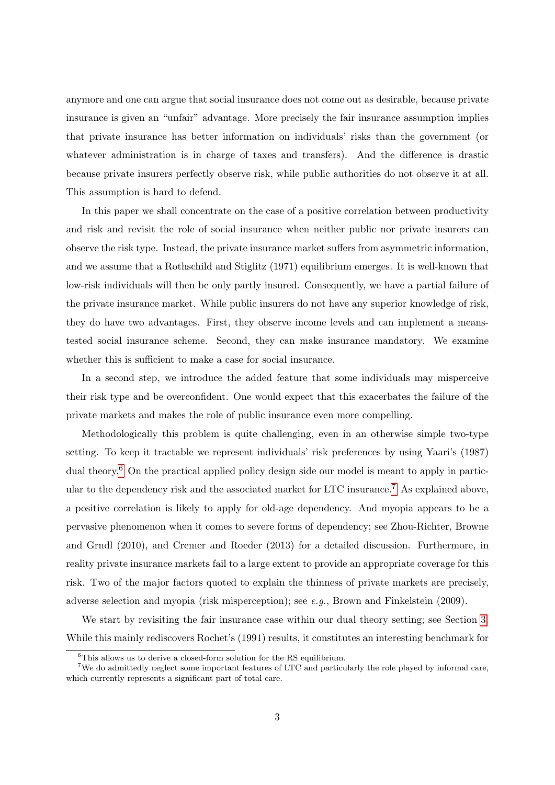anymore and one can argue that social insurance does not come out as desirable, because private insurance is given an "unfair" advantage. More precisely the fair insurance assumption implies that private insurance has better information on individuals' risks than the government (or whatever administration is in charge of taxes and transfers). And the difference is drastic because private insurers perfectly observe risk, while public authorities do not observe it at all. This assumption is hard to defend.

In this paper we shall concentrate on the case of a positive correlation between productivity and risk and revisit the role of social insurance when neither public nor private insurers can observe the risk type. Instead, the private insurance market suffers from asymmetric information, and we assume that a Rothschild and Stiglitz (1971) equilibrium emerges. It is well-known that low-risk individuals will then be only partly insured. Consequently, we have a partial failure of the private insurance market. While public insurers do not have any superior knowledge of risk, they do have two advantages. First, they observe income levels and can implement a meanstested social insurance scheme. Second, they can make insurance mandatory. We examine whether this is sufficient to make a case for social insurance.

In a second step, we introduce the added feature that some individuals may misperceive their risk type and be overconfident. One would expect that this exacerbates the failure of the private markets and makes the role of public insurance even more compelling.

Methodologically this problem is quite challenging, even in an otherwise simple two-type setting. To keep it tractable we represent individuals' risk preferences by using Yaari's (1987) dual theory.<sup>[6](#page--1-0)</sup> On the practical applied policy design side our model is meant to apply in partic-ular to the dependency risk and the associated market for LTC insurance.<sup>[7](#page--1-0)</sup> As explained above, a positive correlation is likely to apply for old-age dependency. And myopia appears to be a pervasive phenomenon when it comes to severe forms of dependency; see Zhou-Richter, Browne and Grndl (2010), and Cremer and Roeder (2013) for a detailed discussion. Furthermore, in reality private insurance markets fail to a large extent to provide an appropriate coverage for this risk. Two of the major factors quoted to explain the thinness of private markets are precisely, adverse selection and myopia (risk misperception); see e.g., Brown and Finkelstein (2009).

We start by revisiting the fair insurance case within our dual theory setting; see Section [3.](#page-9-0) While this mainly rediscovers Rochet's (1991) results, it constitutes an interesting benchmark for

 ${}^{6}$ This allows us to derive a closed-form solution for the RS equilibrium.

<sup>7</sup>We do admittedly neglect some important features of LTC and particularly the role played by informal care, which currently represents a significant part of total care.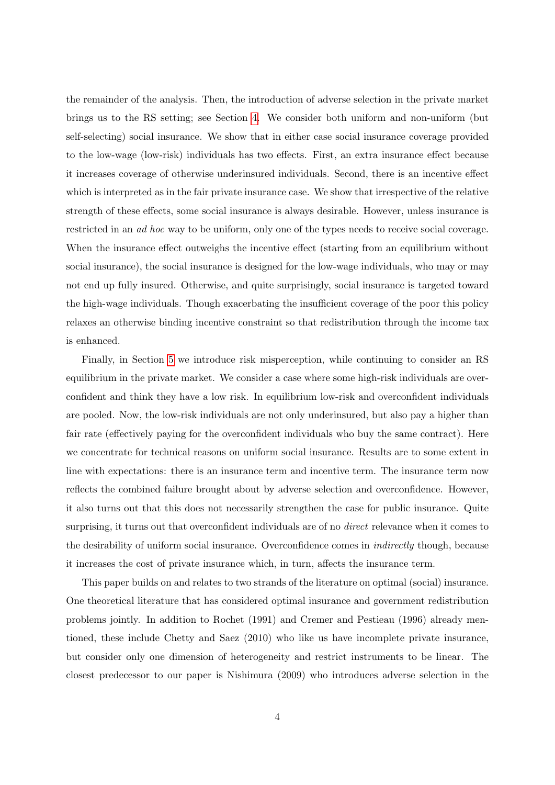the remainder of the analysis. Then, the introduction of adverse selection in the private market brings us to the RS setting; see Section [4.](#page-11-0) We consider both uniform and non-uniform (but self-selecting) social insurance. We show that in either case social insurance coverage provided to the low-wage (low-risk) individuals has two effects. First, an extra insurance effect because it increases coverage of otherwise underinsured individuals. Second, there is an incentive effect which is interpreted as in the fair private insurance case. We show that irrespective of the relative strength of these effects, some social insurance is always desirable. However, unless insurance is restricted in an ad hoc way to be uniform, only one of the types needs to receive social coverage. When the insurance effect outweighs the incentive effect (starting from an equilibrium without social insurance), the social insurance is designed for the low-wage individuals, who may or may not end up fully insured. Otherwise, and quite surprisingly, social insurance is targeted toward the high-wage individuals. Though exacerbating the insufficient coverage of the poor this policy relaxes an otherwise binding incentive constraint so that redistribution through the income tax is enhanced.

Finally, in Section [5](#page-19-0) we introduce risk misperception, while continuing to consider an RS equilibrium in the private market. We consider a case where some high-risk individuals are overconfident and think they have a low risk. In equilibrium low-risk and overconfident individuals are pooled. Now, the low-risk individuals are not only underinsured, but also pay a higher than fair rate (effectively paying for the overconfident individuals who buy the same contract). Here we concentrate for technical reasons on uniform social insurance. Results are to some extent in line with expectations: there is an insurance term and incentive term. The insurance term now reflects the combined failure brought about by adverse selection and overconfidence. However, it also turns out that this does not necessarily strengthen the case for public insurance. Quite surprising, it turns out that overconfident individuals are of no *direct* relevance when it comes to the desirability of uniform social insurance. Overconfidence comes in indirectly though, because it increases the cost of private insurance which, in turn, affects the insurance term.

This paper builds on and relates to two strands of the literature on optimal (social) insurance. One theoretical literature that has considered optimal insurance and government redistribution problems jointly. In addition to Rochet (1991) and Cremer and Pestieau (1996) already mentioned, these include Chetty and Saez (2010) who like us have incomplete private insurance, but consider only one dimension of heterogeneity and restrict instruments to be linear. The closest predecessor to our paper is Nishimura (2009) who introduces adverse selection in the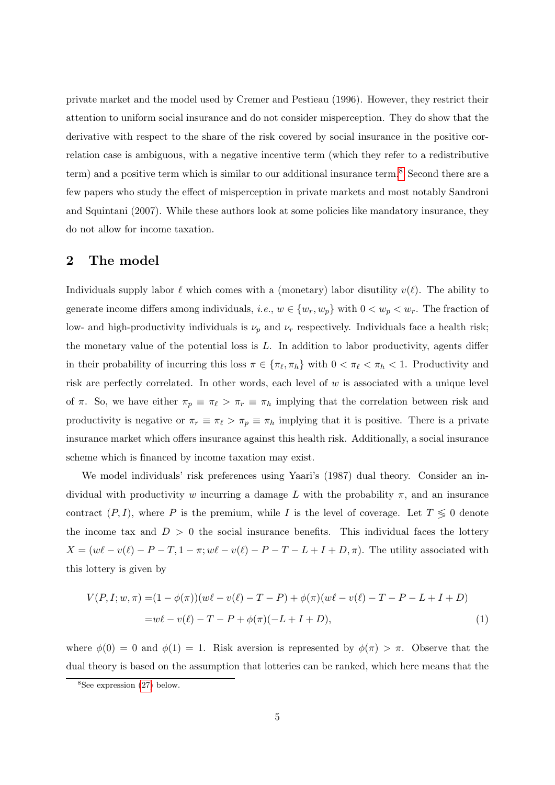private market and the model used by Cremer and Pestieau (1996). However, they restrict their attention to uniform social insurance and do not consider misperception. They do show that the derivative with respect to the share of the risk covered by social insurance in the positive correlation case is ambiguous, with a negative incentive term (which they refer to a redistributive term) and a positive term which is similar to our additional insurance term.[8](#page--1-0) Second there are a few papers who study the effect of misperception in private markets and most notably Sandroni and Squintani (2007). While these authors look at some policies like mandatory insurance, they do not allow for income taxation.

## 2 The model

Individuals supply labor  $\ell$  which comes with a (monetary) labor disutility  $v(\ell)$ . The ability to generate income differs among individuals, *i.e.*,  $w \in \{w_r, w_p\}$  with  $0 < w_p < w_r$ . The fraction of low- and high-productivity individuals is  $\nu_p$  and  $\nu_r$  respectively. Individuals face a health risk; the monetary value of the potential loss is  $L$ . In addition to labor productivity, agents differ in their probability of incurring this loss  $\pi \in {\pi_{\ell}, \pi_h}$  with  $0 < \pi_{\ell} < \pi_h < 1$ . Productivity and risk are perfectly correlated. In other words, each level of  $w$  is associated with a unique level of  $\pi$ . So, we have either  $\pi_p \equiv \pi_\ell > \pi_r \equiv \pi_h$  implying that the correlation between risk and productivity is negative or  $\pi_r \equiv \pi_\ell > \pi_p \equiv \pi_h$  implying that it is positive. There is a private insurance market which offers insurance against this health risk. Additionally, a social insurance scheme which is financed by income taxation may exist.

We model individuals' risk preferences using Yaari's (1987) dual theory. Consider an individual with productivity w incurring a damage L with the probability  $\pi$ , and an insurance contract  $(P, I)$ , where P is the premium, while I is the level of coverage. Let  $T \leq 0$  denote the income tax and  $D > 0$  the social insurance benefits. This individual faces the lottery  $X = (w\ell - v(\ell) - P - T, 1 - \pi; w\ell - v(\ell) - P - T - L + I + D, \pi)$ . The utility associated with this lottery is given by

<span id="page-7-0"></span>
$$
V(P, I; w, \pi) = (1 - \phi(\pi))(w\ell - v(\ell) - T - P) + \phi(\pi)(w\ell - v(\ell) - T - P - L + I + D)
$$
  
=  $w\ell - v(\ell) - T - P + \phi(\pi)(-L + I + D),$  (1)

where  $\phi(0) = 0$  and  $\phi(1) = 1$ . Risk aversion is represented by  $\phi(\pi) > \pi$ . Observe that the dual theory is based on the assumption that lotteries can be ranked, which here means that the

 ${}^{8}$ See expression [\(27\)](#page-15-0) below.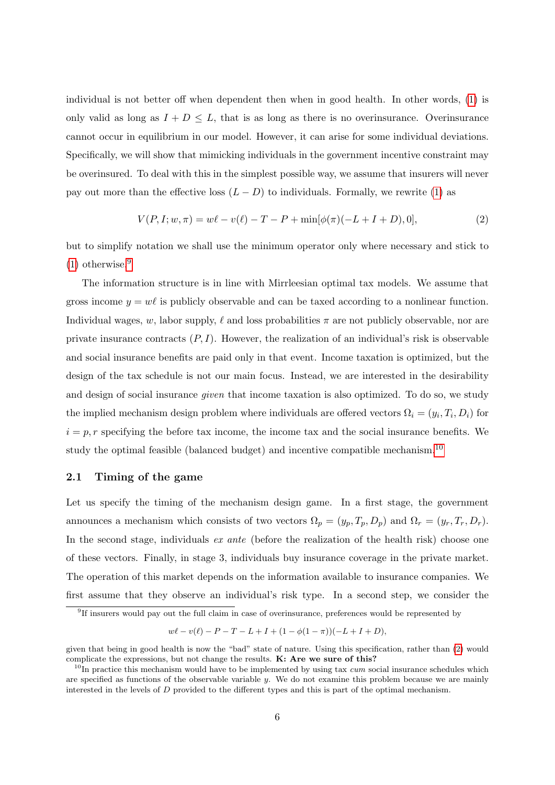individual is not better off when dependent then when in good health. In other words, [\(1\)](#page-7-0) is only valid as long as  $I + D \leq L$ , that is as long as there is no overinsurance. Overinsurance cannot occur in equilibrium in our model. However, it can arise for some individual deviations. Specifically, we will show that mimicking individuals in the government incentive constraint may be overinsured. To deal with this in the simplest possible way, we assume that insurers will never pay out more than the effective loss  $(L - D)$  to individuals. Formally, we rewrite [\(1\)](#page-7-0) as

<span id="page-8-0"></span>
$$
V(P, I; w, \pi) = w\ell - v(\ell) - T - P + \min[\phi(\pi)(-L + I + D), 0],
$$
\n(2)

but to simplify notation we shall use the minimum operator only where necessary and stick to  $(1)$  otherwise.<sup>[9](#page--1-0)</sup>

The information structure is in line with Mirrleesian optimal tax models. We assume that gross income  $y = w\ell$  is publicly observable and can be taxed according to a nonlinear function. Individual wages, w, labor supply,  $\ell$  and loss probabilities  $\pi$  are not publicly observable, nor are private insurance contracts  $(P, I)$ . However, the realization of an individual's risk is observable and social insurance benefits are paid only in that event. Income taxation is optimized, but the design of the tax schedule is not our main focus. Instead, we are interested in the desirability and design of social insurance *given* that income taxation is also optimized. To do so, we study the implied mechanism design problem where individuals are offered vectors  $\Omega_i = (y_i, T_i, D_i)$  for  $i = p, r$  specifying the before tax income, the income tax and the social insurance benefits. We study the optimal feasible (balanced budget) and incentive compatible mechanism.<sup>[10](#page--1-0)</sup>

#### 2.1 Timing of the game

Let us specify the timing of the mechanism design game. In a first stage, the government announces a mechanism which consists of two vectors  $\Omega_p = (y_p, T_p, D_p)$  and  $\Omega_r = (y_r, T_r, D_r)$ . In the second stage, individuals ex ante (before the realization of the health risk) choose one of these vectors. Finally, in stage 3, individuals buy insurance coverage in the private market. The operation of this market depends on the information available to insurance companies. We first assume that they observe an individual's risk type. In a second step, we consider the

<sup>9</sup> If insurers would pay out the full claim in case of overinsurance, preferences would be represented by

 $w\ell - v(\ell) - P - T - L + I + (1 - \phi(1 - \pi))(-L + I + D),$ 

given that being in good health is now the "bad" state of nature. Using this specification, rather than [\(2\)](#page-8-0) would complicate the expressions, but not change the results. K: Are we sure of this?

 $10$ In practice this mechanism would have to be implemented by using tax cum social insurance schedules which are specified as functions of the observable variable  $y$ . We do not examine this problem because we are mainly interested in the levels of D provided to the different types and this is part of the optimal mechanism.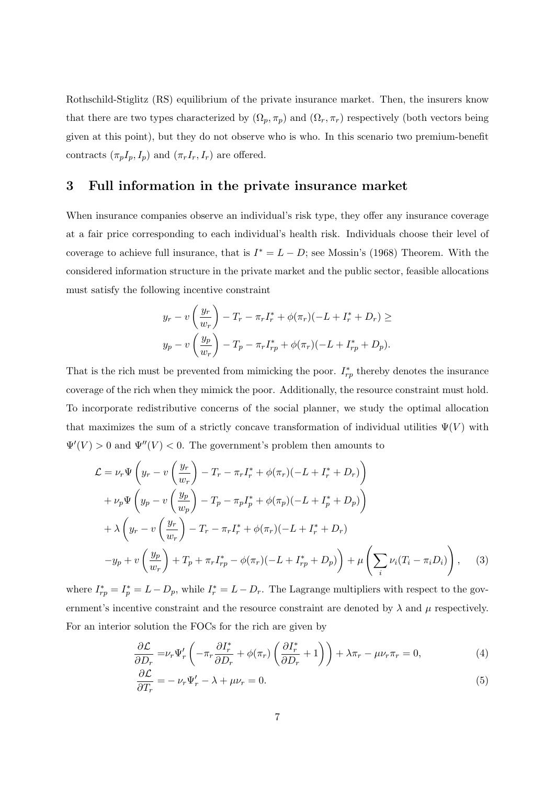Rothschild-Stiglitz (RS) equilibrium of the private insurance market. Then, the insurers know that there are two types characterized by  $(\Omega_p, \pi_p)$  and  $(\Omega_r, \pi_r)$  respectively (both vectors being given at this point), but they do not observe who is who. In this scenario two premium-benefit contracts  $(\pi_p I_p, I_p)$  and  $(\pi_r I_r, I_r)$  are offered.

### <span id="page-9-0"></span>3 Full information in the private insurance market

When insurance companies observe an individual's risk type, they offer any insurance coverage at a fair price corresponding to each individual's health risk. Individuals choose their level of coverage to achieve full insurance, that is  $I^* = L - D$ ; see Mossin's (1968) Theorem. With the considered information structure in the private market and the public sector, feasible allocations must satisfy the following incentive constraint

$$
y_r - v\left(\frac{y_r}{w_r}\right) - T_r - \pi_r I_r^* + \phi(\pi_r)(-L + I_r^* + D_r) \ge
$$
  

$$
y_p - v\left(\frac{y_p}{w_r}\right) - T_p - \pi_r I_{rp}^* + \phi(\pi_r)(-L + I_{rp}^* + D_p).
$$

That is the rich must be prevented from mimicking the poor.  $I_{rp}^*$  thereby denotes the insurance coverage of the rich when they mimick the poor. Additionally, the resource constraint must hold. To incorporate redistributive concerns of the social planner, we study the optimal allocation that maximizes the sum of a strictly concave transformation of individual utilities  $\Psi(V)$  with  $\Psi'(V) > 0$  and  $\Psi''(V) < 0$ . The government's problem then amounts to

$$
\mathcal{L} = \nu_r \Psi \left( y_r - v \left( \frac{y_r}{w_r} \right) - T_r - \pi_r I_r^* + \phi(\pi_r)(-L + I_r^* + D_r) \right) \n+ \nu_p \Psi \left( y_p - v \left( \frac{y_p}{w_p} \right) - T_p - \pi_p I_p^* + \phi(\pi_p)(-L + I_p^* + D_p) \right) \n+ \lambda \left( y_r - v \left( \frac{y_r}{w_r} \right) - T_r - \pi_r I_r^* + \phi(\pi_r)(-L + I_r^* + D_r) \right) \n- y_p + v \left( \frac{y_p}{w_r} \right) + T_p + \pi_r I_{rp}^* - \phi(\pi_r)(-L + I_{rp}^* + D_p) \right) + \mu \left( \sum_i \nu_i (T_i - \pi_i D_i) \right),
$$
\n(3)

where  $I_{rp}^* = I_p^* = L - D_p$ , while  $I_r^* = L - D_r$ . The Lagrange multipliers with respect to the government's incentive constraint and the resource constraint are denoted by  $\lambda$  and  $\mu$  respectively. For an interior solution the FOCs for the rich are given by

<span id="page-9-2"></span>
$$
\frac{\partial \mathcal{L}}{\partial D_r} = \nu_r \Psi'_r \left( -\pi_r \frac{\partial I_r^*}{\partial D_r} + \phi(\pi_r) \left( \frac{\partial I_r^*}{\partial D_r} + 1 \right) \right) + \lambda \pi_r - \mu \nu_r \pi_r = 0, \tag{4}
$$

<span id="page-9-1"></span>
$$
\frac{\partial \mathcal{L}}{\partial T_r} = -\nu_r \Psi'_r - \lambda + \mu \nu_r = 0. \tag{5}
$$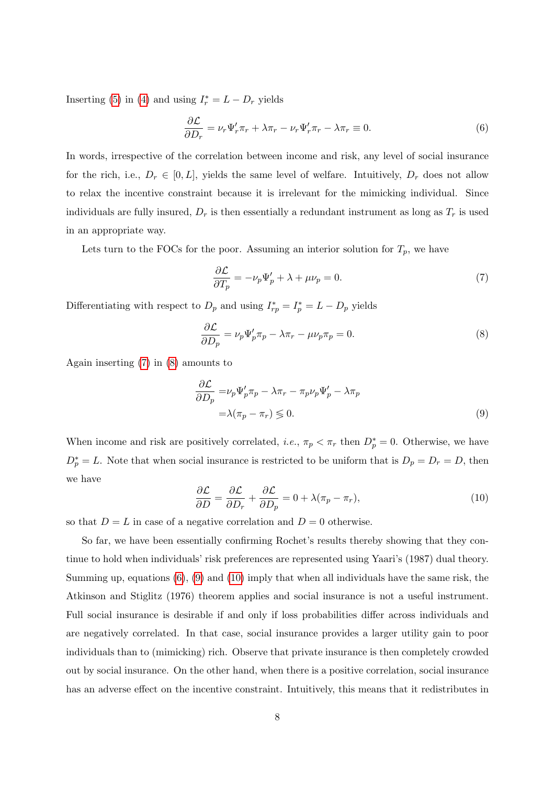Inserting [\(5\)](#page-9-1) in [\(4\)](#page-9-2) and using  $I_r^* = L - D_r$  yields

<span id="page-10-2"></span>
$$
\frac{\partial \mathcal{L}}{\partial D_r} = \nu_r \Psi'_r \pi_r + \lambda \pi_r - \nu_r \Psi'_r \pi_r - \lambda \pi_r \equiv 0.
$$
\n(6)

In words, irrespective of the correlation between income and risk, any level of social insurance for the rich, i.e.,  $D_r \in [0, L]$ , yields the same level of welfare. Intuitively,  $D_r$  does not allow to relax the incentive constraint because it is irrelevant for the mimicking individual. Since individuals are fully insured,  $D_r$  is then essentially a redundant instrument as long as  $T_r$  is used in an appropriate way.

Lets turn to the FOCs for the poor. Assuming an interior solution for  $T_p$ , we have

<span id="page-10-0"></span>
$$
\frac{\partial \mathcal{L}}{\partial T_p} = -\nu_p \Psi_p' + \lambda + \mu \nu_p = 0. \tag{7}
$$

Differentiating with respect to  $D_p$  and using  $I_{rp}^* = I_p^* = L - D_p$  yields

<span id="page-10-1"></span>
$$
\frac{\partial \mathcal{L}}{\partial D_p} = \nu_p \Psi'_p \pi_p - \lambda \pi_r - \mu \nu_p \pi_p = 0.
$$
\n(8)

Again inserting [\(7\)](#page-10-0) in [\(8\)](#page-10-1) amounts to

<span id="page-10-3"></span>
$$
\frac{\partial \mathcal{L}}{\partial D_p} = \nu_p \Psi'_p \pi_p - \lambda \pi_r - \pi_p \nu_p \Psi'_p - \lambda \pi_p
$$
  
=  $\lambda (\pi_p - \pi_r) \leq 0.$  (9)

When income and risk are positively correlated, *i.e.*,  $\pi_p < \pi_r$  then  $D_p^* = 0$ . Otherwise, we have  $D_p^* = L$ . Note that when social insurance is restricted to be uniform that is  $D_p = D_r = D$ , then we have

<span id="page-10-4"></span>
$$
\frac{\partial \mathcal{L}}{\partial D} = \frac{\partial \mathcal{L}}{\partial D_r} + \frac{\partial \mathcal{L}}{\partial D_p} = 0 + \lambda (\pi_p - \pi_r),\tag{10}
$$

so that  $D = L$  in case of a negative correlation and  $D = 0$  otherwise.

So far, we have been essentially confirming Rochet's results thereby showing that they continue to hold when individuals' risk preferences are represented using Yaari's (1987) dual theory. Summing up, equations  $(6)$ ,  $(9)$  and  $(10)$  imply that when all individuals have the same risk, the Atkinson and Stiglitz (1976) theorem applies and social insurance is not a useful instrument. Full social insurance is desirable if and only if loss probabilities differ across individuals and are negatively correlated. In that case, social insurance provides a larger utility gain to poor individuals than to (mimicking) rich. Observe that private insurance is then completely crowded out by social insurance. On the other hand, when there is a positive correlation, social insurance has an adverse effect on the incentive constraint. Intuitively, this means that it redistributes in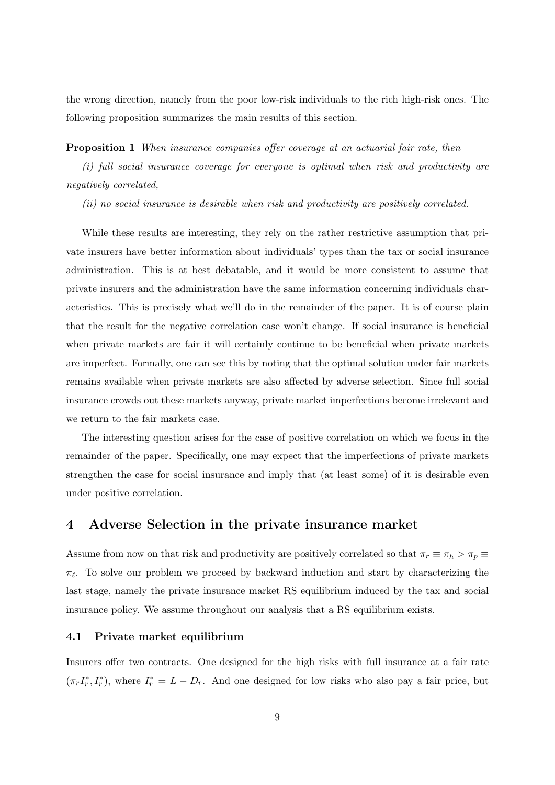the wrong direction, namely from the poor low-risk individuals to the rich high-risk ones. The following proposition summarizes the main results of this section.

#### Proposition 1 When insurance companies offer coverage at an actuarial fair rate, then

(i) full social insurance coverage for everyone is optimal when risk and productivity are negatively correlated,

(ii) no social insurance is desirable when risk and productivity are positively correlated.

While these results are interesting, they rely on the rather restrictive assumption that private insurers have better information about individuals' types than the tax or social insurance administration. This is at best debatable, and it would be more consistent to assume that private insurers and the administration have the same information concerning individuals characteristics. This is precisely what we'll do in the remainder of the paper. It is of course plain that the result for the negative correlation case won't change. If social insurance is beneficial when private markets are fair it will certainly continue to be beneficial when private markets are imperfect. Formally, one can see this by noting that the optimal solution under fair markets remains available when private markets are also affected by adverse selection. Since full social insurance crowds out these markets anyway, private market imperfections become irrelevant and we return to the fair markets case.

The interesting question arises for the case of positive correlation on which we focus in the remainder of the paper. Specifically, one may expect that the imperfections of private markets strengthen the case for social insurance and imply that (at least some) of it is desirable even under positive correlation.

### <span id="page-11-0"></span>4 Adverse Selection in the private insurance market

Assume from now on that risk and productivity are positively correlated so that  $\pi_r \equiv \pi_h > \pi_p \equiv$  $\pi_{\ell}$ . To solve our problem we proceed by backward induction and start by characterizing the last stage, namely the private insurance market RS equilibrium induced by the tax and social insurance policy. We assume throughout our analysis that a RS equilibrium exists.

#### 4.1 Private market equilibrium

Insurers offer two contracts. One designed for the high risks with full insurance at a fair rate  $(\pi_r I_r^*, I_r^*)$ , where  $I_r^* = L - D_r$ . And one designed for low risks who also pay a fair price, but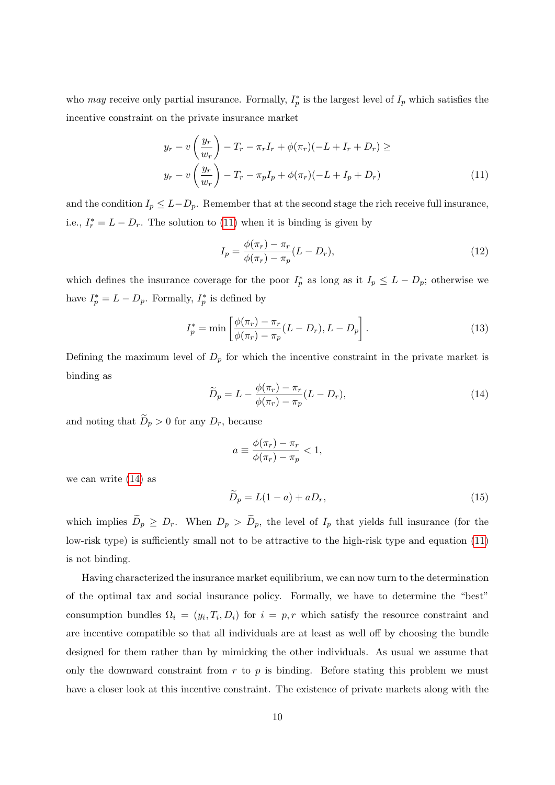who may receive only partial insurance. Formally,  $I_p^*$  is the largest level of  $I_p$  which satisfies the incentive constraint on the private insurance market

$$
y_r - v\left(\frac{y_r}{w_r}\right) - T_r - \pi_r I_r + \phi(\pi_r)(-L + I_r + D_r) \ge
$$
  

$$
y_r - v\left(\frac{y_r}{w_r}\right) - T_r - \pi_p I_p + \phi(\pi_r)(-L + I_p + D_r)
$$
 (11)

and the condition  $I_p \leq L-D_p$ . Remember that at the second stage the rich receive full insurance, i.e.,  $I_r^* = L - D_r$ . The solution to [\(11\)](#page-12-0) when it is binding is given by

<span id="page-12-2"></span><span id="page-12-0"></span>
$$
I_p = \frac{\phi(\pi_r) - \pi_r}{\phi(\pi_r) - \pi_p}(L - D_r),\tag{12}
$$

which defines the insurance coverage for the poor  $I_p^*$  as long as it  $I_p \leq L - D_p$ ; otherwise we have  $I_p^* = L - D_p$ . Formally,  $I_p^*$  is defined by

$$
I_p^* = \min \left[ \frac{\phi(\pi_r) - \pi_r}{\phi(\pi_r) - \pi_p} (L - D_r), L - D_p \right].
$$
 (13)

Defining the maximum level of  $D_p$  for which the incentive constraint in the private market is binding as

<span id="page-12-1"></span>
$$
\widetilde{D}_p = L - \frac{\phi(\pi_r) - \pi_r}{\phi(\pi_r) - \pi_p}(L - D_r),\tag{14}
$$

and noting that  $\widetilde{D}_p > 0$  for any  $D_r$ , because

$$
a \equiv \frac{\phi(\pi_r) - \pi_r}{\phi(\pi_r) - \pi_p} < 1,
$$

we can write [\(14\)](#page-12-1) as

<span id="page-12-3"></span>
$$
\widetilde{D}_p = L(1-a) + aD_r,\tag{15}
$$

which implies  $\widetilde{D}_p \geq D_r$ . When  $D_p > \widetilde{D}_p$ , the level of  $I_p$  that yields full insurance (for the low-risk type) is sufficiently small not to be attractive to the high-risk type and equation [\(11\)](#page-12-0) is not binding.

Having characterized the insurance market equilibrium, we can now turn to the determination of the optimal tax and social insurance policy. Formally, we have to determine the "best" consumption bundles  $\Omega_i = (y_i, T_i, D_i)$  for  $i = p, r$  which satisfy the resource constraint and are incentive compatible so that all individuals are at least as well off by choosing the bundle designed for them rather than by mimicking the other individuals. As usual we assume that only the downward constraint from  $r$  to  $p$  is binding. Before stating this problem we must have a closer look at this incentive constraint. The existence of private markets along with the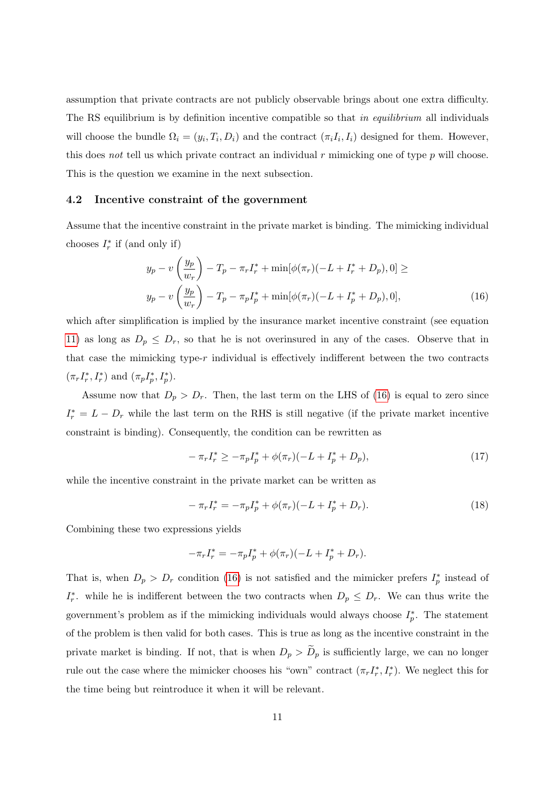assumption that private contracts are not publicly observable brings about one extra difficulty. The RS equilibrium is by definition incentive compatible so that in equilibrium all individuals will choose the bundle  $\Omega_i = (y_i, T_i, D_i)$  and the contract  $(\pi_i I_i, I_i)$  designed for them. However, this does not tell us which private contract an individual  $r$  mimicking one of type  $p$  will choose. This is the question we examine in the next subsection.

#### 4.2 Incentive constraint of the government

Assume that the incentive constraint in the private market is binding. The mimicking individual chooses  $I_r^*$  if (and only if)

<span id="page-13-0"></span>
$$
y_p - v\left(\frac{y_p}{w_r}\right) - T_p - \pi_r I_r^* + \min[\phi(\pi_r)(-L + I_r^* + D_p), 0] \ge
$$
  

$$
y_p - v\left(\frac{y_p}{w_r}\right) - T_p - \pi_p I_p^* + \min[\phi(\pi_r)(-L + I_p^* + D_p), 0],
$$
 (16)

which after simplification is implied by the insurance market incentive constraint (see equation [11\)](#page-12-0) as long as  $D_p \leq D_r$ , so that he is not overinsured in any of the cases. Observe that in that case the mimicking type-r individual is effectively indifferent between the two contracts  $(\pi_r I_r^*, I_r^*)$  and  $(\pi_p I_p^*, I_p^*)$ .

Assume now that  $D_p > D_r$ . Then, the last term on the LHS of [\(16\)](#page-13-0) is equal to zero since  $I_r^* = L - D_r$  while the last term on the RHS is still negative (if the private market incentive constraint is binding). Consequently, the condition can be rewritten as

$$
-\pi_r I_r^* \ge -\pi_p I_p^* + \phi(\pi_r)(-L + I_p^* + D_p),\tag{17}
$$

while the incentive constraint in the private market can be written as

$$
-\pi_r I_r^* = -\pi_p I_p^* + \phi(\pi_r)(-L + I_p^* + D_r).
$$
\n(18)

Combining these two expressions yields

$$
-\pi_r I_r^* = -\pi_p I_p^* + \phi(\pi_r)(-L + I_p^* + D_r).
$$

That is, when  $D_p > D_r$  condition [\(16\)](#page-13-0) is not satisfied and the mimicker prefers  $I_p^*$  instead of  $I_r^*$ . while he is indifferent between the two contracts when  $D_p \leq D_r$ . We can thus write the government's problem as if the mimicking individuals would always choose  $I_p^*$ . The statement of the problem is then valid for both cases. This is true as long as the incentive constraint in the private market is binding. If not, that is when  $D_p > \tilde{D}_p$  is sufficiently large, we can no longer rule out the case where the mimicker chooses his "own" contract  $(\pi_r I_r^*, I_r^*)$ . We neglect this for the time being but reintroduce it when it will be relevant.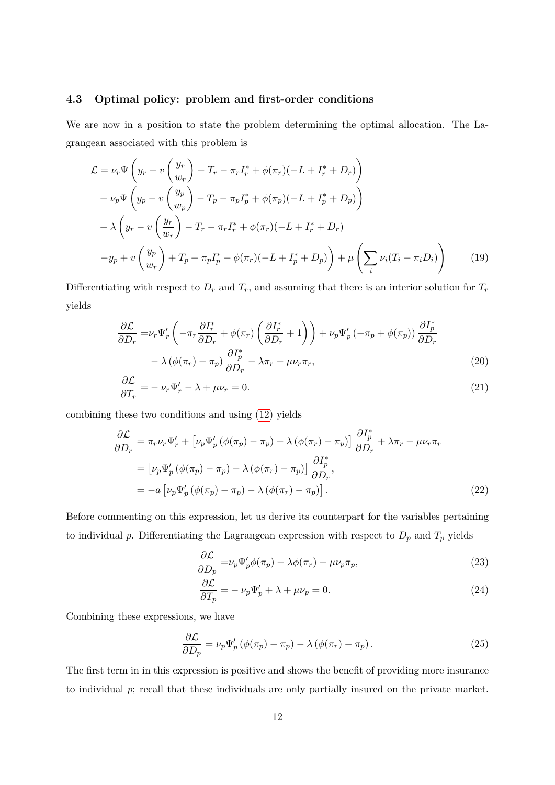#### 4.3 Optimal policy: problem and first-order conditions

We are now in a position to state the problem determining the optimal allocation. The Lagrangean associated with this problem is

$$
\mathcal{L} = \nu_r \Psi \left( y_r - v \left( \frac{y_r}{w_r} \right) - T_r - \pi_r I_r^* + \phi(\pi_r)(-L + I_r^* + D_r) \right) \n+ \nu_p \Psi \left( y_p - v \left( \frac{y_p}{w_p} \right) - T_p - \pi_p I_p^* + \phi(\pi_p)(-L + I_p^* + D_p) \right) \n+ \lambda \left( y_r - v \left( \frac{y_r}{w_r} \right) - T_r - \pi_r I_r^* + \phi(\pi_r)(-L + I_r^* + D_r) \right) \n- y_p + v \left( \frac{y_p}{w_r} \right) + T_p + \pi_p I_p^* - \phi(\pi_r)(-L + I_p^* + D_p) \right) + \mu \left( \sum_i \nu_i (T_i - \pi_i D_i) \right)
$$
\n(19)

Differentiating with respect to  $D_r$  and  $T_r$ , and assuming that there is an interior solution for  $T_r$ yields

$$
\frac{\partial \mathcal{L}}{\partial D_r} = \nu_r \Psi'_r \left( -\pi_r \frac{\partial I^*_r}{\partial D_r} + \phi(\pi_r) \left( \frac{\partial I^*_r}{\partial D_r} + 1 \right) \right) + \nu_p \Psi'_p \left( -\pi_p + \phi(\pi_p) \right) \frac{\partial I^*_p}{\partial D_r} \n- \lambda \left( \phi(\pi_r) - \pi_p \right) \frac{\partial I^*_p}{\partial D_r} - \lambda \pi_r - \mu \nu_r \pi_r,
$$
\n(20)

$$
\frac{\partial \mathcal{L}}{\partial T_r} = -\nu_r \Psi'_r - \lambda + \mu \nu_r = 0. \tag{21}
$$

combining these two conditions and using [\(12\)](#page-12-2) yields

$$
\frac{\partial \mathcal{L}}{\partial D_r} = \pi_r \nu_r \Psi'_r + \left[ \nu_p \Psi'_p \left( \phi(\pi_p) - \pi_p \right) - \lambda \left( \phi(\pi_r) - \pi_p \right) \right] \frac{\partial I_p^*}{\partial D_r} + \lambda \pi_r - \mu \nu_r \pi_r
$$
\n
$$
= \left[ \nu_p \Psi'_p \left( \phi(\pi_p) - \pi_p \right) - \lambda \left( \phi(\pi_r) - \pi_p \right) \right] \frac{\partial I_p^*}{\partial D_r},
$$
\n
$$
= -a \left[ \nu_p \Psi'_p \left( \phi(\pi_p) - \pi_p \right) - \lambda \left( \phi(\pi_r) - \pi_p \right) \right].
$$
\n(22)

Before commenting on this expression, let us derive its counterpart for the variables pertaining to individual p. Differentiating the Lagrangean expression with respect to  $D_p$  and  $T_p$  yields

<span id="page-14-2"></span><span id="page-14-0"></span>
$$
\frac{\partial \mathcal{L}}{\partial D_p} = \nu_p \Psi'_p \phi(\pi_p) - \lambda \phi(\pi_r) - \mu \nu_p \pi_p,\tag{23}
$$

<span id="page-14-3"></span>
$$
\frac{\partial \mathcal{L}}{\partial T_p} = -\nu_p \Psi_p' + \lambda + \mu \nu_p = 0.
$$
\n(24)

Combining these expressions, we have

<span id="page-14-1"></span>
$$
\frac{\partial \mathcal{L}}{\partial D_p} = \nu_p \Psi'_p \left( \phi(\pi_p) - \pi_p \right) - \lambda \left( \phi(\pi_r) - \pi_p \right). \tag{25}
$$

The first term in in this expression is positive and shows the benefit of providing more insurance to individual p; recall that these individuals are only partially insured on the private market.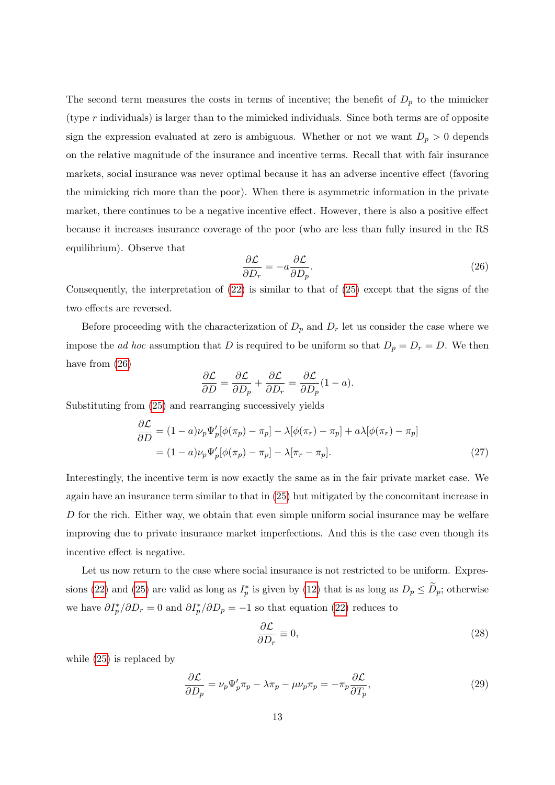The second term measures the costs in terms of incentive; the benefit of  $D_p$  to the mimicker (type r individuals) is larger than to the mimicked individuals. Since both terms are of opposite sign the expression evaluated at zero is ambiguous. Whether or not we want  $D_p > 0$  depends on the relative magnitude of the insurance and incentive terms. Recall that with fair insurance markets, social insurance was never optimal because it has an adverse incentive effect (favoring the mimicking rich more than the poor). When there is asymmetric information in the private market, there continues to be a negative incentive effect. However, there is also a positive effect because it increases insurance coverage of the poor (who are less than fully insured in the RS equilibrium). Observe that

<span id="page-15-1"></span>
$$
\frac{\partial \mathcal{L}}{\partial D_r} = -a \frac{\partial \mathcal{L}}{\partial D_p}.
$$
\n(26)

Consequently, the interpretation of  $(22)$  is similar to that of  $(25)$  except that the signs of the two effects are reversed.

Before proceeding with the characterization of  $D_p$  and  $D_r$  let us consider the case where we impose the *ad hoc* assumption that D is required to be uniform so that  $D_p = D_r = D$ . We then have from  $(26)$ 

<span id="page-15-0"></span>
$$
\frac{\partial \mathcal{L}}{\partial D} = \frac{\partial \mathcal{L}}{\partial D_p} + \frac{\partial \mathcal{L}}{\partial D_r} = \frac{\partial \mathcal{L}}{\partial D_p} (1 - a).
$$

Substituting from [\(25\)](#page-14-1) and rearranging successively yields

$$
\frac{\partial \mathcal{L}}{\partial D} = (1 - a)\nu_p \Psi_p'[\phi(\pi_p) - \pi_p] - \lambda[\phi(\pi_r) - \pi_p] + a\lambda[\phi(\pi_r) - \pi_p]
$$

$$
= (1 - a)\nu_p \Psi_p'[\phi(\pi_p) - \pi_p] - \lambda[\pi_r - \pi_p].
$$
\n(27)

Interestingly, the incentive term is now exactly the same as in the fair private market case. We again have an insurance term similar to that in [\(25\)](#page-14-1) but mitigated by the concomitant increase in  $D$  for the rich. Either way, we obtain that even simple uniform social insurance may be welfare improving due to private insurance market imperfections. And this is the case even though its incentive effect is negative.

Let us now return to the case where social insurance is not restricted to be uniform. Expres-sions [\(22\)](#page-14-0) and [\(25\)](#page-14-1) are valid as long as  $I_p^*$  is given by [\(12\)](#page-12-2) that is as long as  $D_p \leq \tilde{D}_p$ ; otherwise we have  $\partial I_p^* / \partial D_r = 0$  and  $\partial I_p^* / \partial D_p = -1$  so that equation [\(22\)](#page-14-0) reduces to

<span id="page-15-2"></span>
$$
\frac{\partial \mathcal{L}}{\partial D_r} \equiv 0,\tag{28}
$$

while [\(25\)](#page-14-1) is replaced by

<span id="page-15-3"></span>
$$
\frac{\partial \mathcal{L}}{\partial D_p} = \nu_p \Psi'_p \pi_p - \lambda \pi_p - \mu \nu_p \pi_p = -\pi_p \frac{\partial \mathcal{L}}{\partial T_p},\tag{29}
$$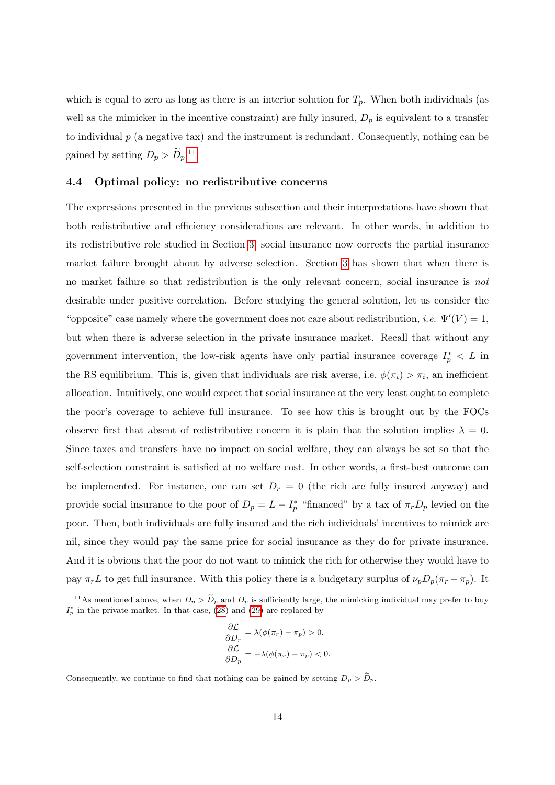which is equal to zero as long as there is an interior solution for  $T_p$ . When both individuals (as well as the mimicker in the incentive constraint) are fully insured,  $D_p$  is equivalent to a transfer to individual  $p$  (a negative tax) and the instrument is redundant. Consequently, nothing can be gained by setting  $D_p > \tilde{D}_p$ .<sup>[11](#page--1-0)</sup>

#### <span id="page-16-0"></span>4.4 Optimal policy: no redistributive concerns

The expressions presented in the previous subsection and their interpretations have shown that both redistributive and efficiency considerations are relevant. In other words, in addition to its redistributive role studied in Section [3,](#page-9-0) social insurance now corrects the partial insurance market failure brought about by adverse selection. Section [3](#page-9-0) has shown that when there is no market failure so that redistribution is the only relevant concern, social insurance is not desirable under positive correlation. Before studying the general solution, let us consider the "opposite" case namely where the government does not care about redistribution, *i.e.*  $\Psi'(V) = 1$ , but when there is adverse selection in the private insurance market. Recall that without any government intervention, the low-risk agents have only partial insurance coverage  $I_p^* < L$  in the RS equilibrium. This is, given that individuals are risk averse, i.e.  $\phi(\pi_i) > \pi_i$ , an inefficient allocation. Intuitively, one would expect that social insurance at the very least ought to complete the poor's coverage to achieve full insurance. To see how this is brought out by the FOCs observe first that absent of redistributive concern it is plain that the solution implies  $\lambda = 0$ . Since taxes and transfers have no impact on social welfare, they can always be set so that the self-selection constraint is satisfied at no welfare cost. In other words, a first-best outcome can be implemented. For instance, one can set  $D<sub>r</sub> = 0$  (the rich are fully insured anyway) and provide social insurance to the poor of  $D_p = L - I_p^*$  "financed" by a tax of  $\pi_r D_p$  levied on the poor. Then, both individuals are fully insured and the rich individuals' incentives to mimick are nil, since they would pay the same price for social insurance as they do for private insurance. And it is obvious that the poor do not want to mimick the rich for otherwise they would have to pay  $\pi_r L$  to get full insurance. With this policy there is a budgetary surplus of  $\nu_p D_p(\pi_r - \pi_p)$ . It

$$
\frac{\partial \mathcal{L}}{\partial D_r} = \lambda(\phi(\pi_r) - \pi_p) > 0,
$$
  

$$
\frac{\partial \mathcal{L}}{\partial D_p} = -\lambda(\phi(\pi_r) - \pi_p) < 0.
$$

Consequently, we continue to find that nothing can be gained by setting  $D_p > \tilde{D}_p$ .

<sup>&</sup>lt;sup>11</sup>As mentioned above, when  $D_p > \tilde{D}_p$  and  $D_p$  is sufficiently large, the mimicking individual may prefer to buy  $I_p^*$  in the private market. In that case, [\(28\)](#page-15-2) and [\(29\)](#page-15-3) are replaced by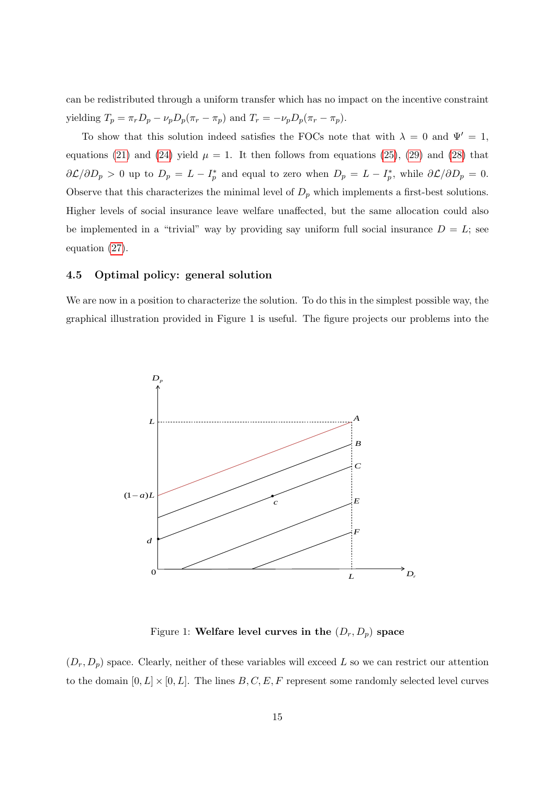can be redistributed through a uniform transfer which has no impact on the incentive constraint yielding  $T_p = \pi_r D_p - \nu_p D_p(\pi_r - \pi_p)$  and  $T_r = -\nu_p D_p(\pi_r - \pi_p)$ .

To show that this solution indeed satisfies the FOCs note that with  $\lambda = 0$  and  $\Psi' = 1$ , equations [\(21\)](#page-14-2) and [\(24\)](#page-14-3) yield  $\mu = 1$ . It then follows from equations [\(25\)](#page-14-1), [\(29\)](#page-15-3) and [\(28\)](#page-15-2) that  $\partial \mathcal{L}/\partial D_p > 0$  up to  $D_p = L - I_p^*$  and equal to zero when  $D_p = L - I_p^*$ , while  $\partial \mathcal{L}/\partial D_p = 0$ . Observe that this characterizes the minimal level of  $D_p$  which implements a first-best solutions. Higher levels of social insurance leave welfare unaffected, but the same allocation could also be implemented in a "trivial" way by providing say uniform full social insurance  $D = L$ ; see equation [\(27\)](#page-15-0).

#### 4.5 Optimal policy: general solution

We are now in a position to characterize the solution. To do this in the simplest possible way, the graphical illustration provided in Figure 1 is useful. The figure projects our problems into the



Figure 1: Welfare level curves in the  $(D_r, D_p)$  space

 $(D_r, D_p)$  space. Clearly, neither of these variables will exceed L so we can restrict our attention to the domain  $[0, L] \times [0, L]$ . The lines  $B, C, E, F$  represent some randomly selected level curves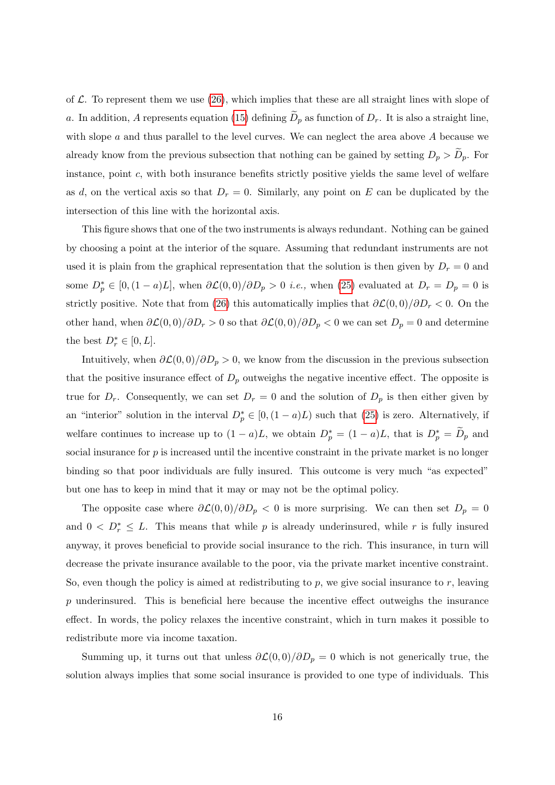of  $\mathcal L$ . To represent them we use [\(26\)](#page-15-1), which implies that these are all straight lines with slope of a. In addition, A represents equation [\(15\)](#page-12-3) defining  $\widetilde{D}_p$  as function of  $D_r$ . It is also a straight line, with slope  $a$  and thus parallel to the level curves. We can neglect the area above  $A$  because we already know from the previous subsection that nothing can be gained by setting  $D_p > D_p$ . For instance, point c, with both insurance benefits strictly positive yields the same level of welfare as d, on the vertical axis so that  $D<sub>r</sub> = 0$ . Similarly, any point on E can be duplicated by the intersection of this line with the horizontal axis.

This figure shows that one of the two instruments is always redundant. Nothing can be gained by choosing a point at the interior of the square. Assuming that redundant instruments are not used it is plain from the graphical representation that the solution is then given by  $D_r = 0$  and some  $D_p^* \in [0, (1-a)L]$ , when  $\partial \mathcal{L}(0,0)/\partial D_p > 0$  *i.e.*, when [\(25\)](#page-14-1) evaluated at  $D_r = D_p = 0$  is strictly positive. Note that from [\(26\)](#page-15-1) this automatically implies that  $\partial \mathcal{L}(0,0)/\partial D_r < 0$ . On the other hand, when  $\partial \mathcal{L}(0,0)/\partial D_r > 0$  so that  $\partial \mathcal{L}(0,0)/\partial D_p < 0$  we can set  $D_p = 0$  and determine the best  $D_r^* \in [0, L]$ .

Intuitively, when  $\partial \mathcal{L}(0,0)/\partial D_p > 0$ , we know from the discussion in the previous subsection that the positive insurance effect of  $D_p$  outweighs the negative incentive effect. The opposite is true for  $D_r$ . Consequently, we can set  $D_r = 0$  and the solution of  $D_p$  is then either given by an "interior" solution in the interval  $D_p^* \in [0, (1-a)L)$  such that [\(25\)](#page-14-1) is zero. Alternatively, if welfare continues to increase up to  $(1 - a)L$ , we obtain  $D_p^* = (1 - a)L$ , that is  $D_p^* = \widetilde{D}_p$  and social insurance for  $p$  is increased until the incentive constraint in the private market is no longer binding so that poor individuals are fully insured. This outcome is very much "as expected" but one has to keep in mind that it may or may not be the optimal policy.

The opposite case where  $\partial \mathcal{L}(0,0)/\partial D_p < 0$  is more surprising. We can then set  $D_p = 0$ and  $0 < D_r^* \leq L$ . This means that while p is already underinsured, while r is fully insured anyway, it proves beneficial to provide social insurance to the rich. This insurance, in turn will decrease the private insurance available to the poor, via the private market incentive constraint. So, even though the policy is aimed at redistributing to  $p$ , we give social insurance to  $r$ , leaving p underinsured. This is beneficial here because the incentive effect outweighs the insurance effect. In words, the policy relaxes the incentive constraint, which in turn makes it possible to redistribute more via income taxation.

Summing up, it turns out that unless  $\partial \mathcal{L}(0,0)/\partial D_p = 0$  which is not generically true, the solution always implies that some social insurance is provided to one type of individuals. This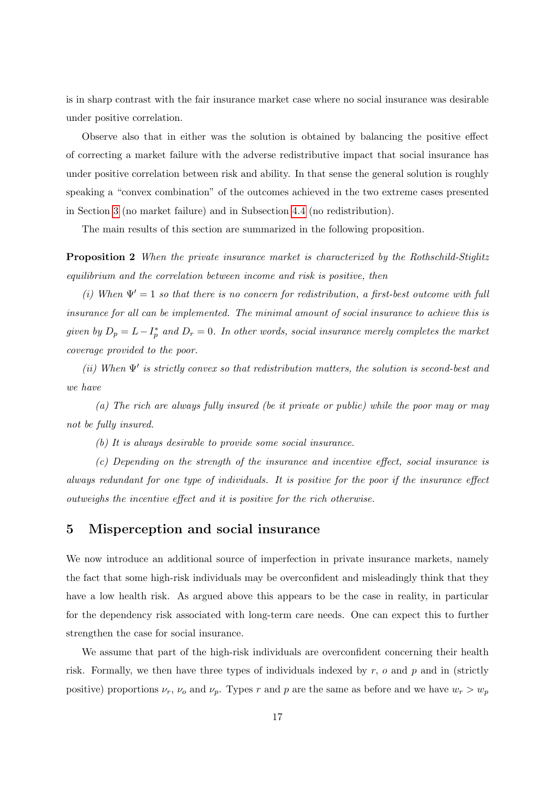is in sharp contrast with the fair insurance market case where no social insurance was desirable under positive correlation.

Observe also that in either was the solution is obtained by balancing the positive effect of correcting a market failure with the adverse redistributive impact that social insurance has under positive correlation between risk and ability. In that sense the general solution is roughly speaking a "convex combination" of the outcomes achieved in the two extreme cases presented in Section [3](#page-9-0) (no market failure) and in Subsection [4.4](#page-16-0) (no redistribution).

The main results of this section are summarized in the following proposition.

**Proposition 2** When the private insurance market is characterized by the Rothschild-Stiglitz equilibrium and the correlation between income and risk is positive, then

(i) When  $\Psi' = 1$  so that there is no concern for redistribution, a first-best outcome with full insurance for all can be implemented. The minimal amount of social insurance to achieve this is given by  $D_p = L - I_p^*$  and  $D_r = 0$ . In other words, social insurance merely completes the market coverage provided to the poor.

(ii) When  $\Psi'$  is strictly convex so that redistribution matters, the solution is second-best and we have

(a) The rich are always fully insured (be it private or public) while the poor may or may not be fully insured.

(b) It is always desirable to provide some social insurance.

(c) Depending on the strength of the insurance and incentive effect, social insurance is always redundant for one type of individuals. It is positive for the poor if the insurance effect outweighs the incentive effect and it is positive for the rich otherwise.

### <span id="page-19-0"></span>5 Misperception and social insurance

We now introduce an additional source of imperfection in private insurance markets, namely the fact that some high-risk individuals may be overconfident and misleadingly think that they have a low health risk. As argued above this appears to be the case in reality, in particular for the dependency risk associated with long-term care needs. One can expect this to further strengthen the case for social insurance.

We assume that part of the high-risk individuals are overconfident concerning their health risk. Formally, we then have three types of individuals indexed by  $r$ ,  $o$  and  $p$  and in (strictly positive) proportions  $\nu_r$ ,  $\nu_o$  and  $\nu_p$ . Types r and p are the same as before and we have  $w_r > w_p$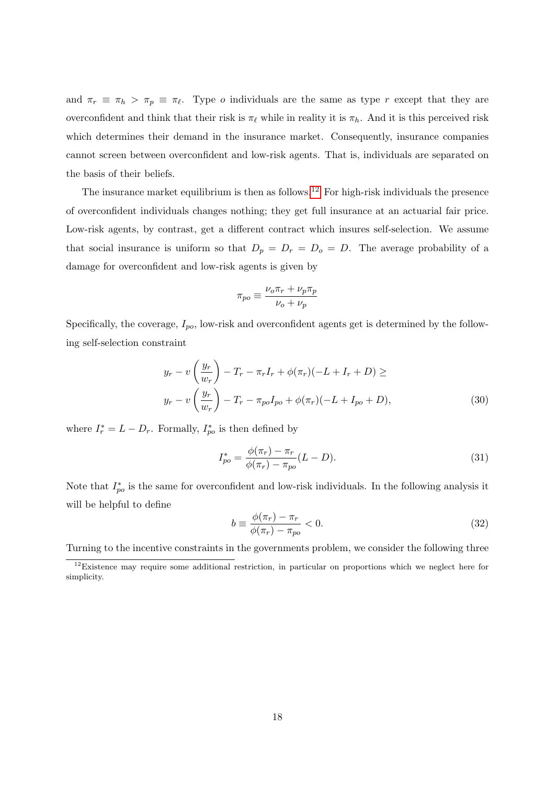and  $\pi_r \equiv \pi_h > \pi_p \equiv \pi_\ell$ . Type *o* individuals are the same as type *r* except that they are overconfident and think that their risk is  $\pi_{\ell}$  while in reality it is  $\pi_{h}$ . And it is this perceived risk which determines their demand in the insurance market. Consequently, insurance companies cannot screen between overconfident and low-risk agents. That is, individuals are separated on the basis of their beliefs.

The insurance market equilibrium is then as follows.<sup>[12](#page--1-0)</sup> For high-risk individuals the presence of overconfident individuals changes nothing; they get full insurance at an actuarial fair price. Low-risk agents, by contrast, get a different contract which insures self-selection. We assume that social insurance is uniform so that  $D_p = D_r = D_o = D$ . The average probability of a damage for overconfident and low-risk agents is given by

<span id="page-20-0"></span>
$$
\pi_{po} \equiv \frac{\nu_o \pi_r + \nu_p \pi_p}{\nu_o + \nu_p}
$$

Specifically, the coverage,  $I_{po}$ , low-risk and overconfident agents get is determined by the following self-selection constraint

$$
y_r - v\left(\frac{y_r}{w_r}\right) - T_r - \pi_r I_r + \phi(\pi_r)(-L + I_r + D) \ge
$$
  

$$
y_r - v\left(\frac{y_r}{w_r}\right) - T_r - \pi_{po} I_{po} + \phi(\pi_r)(-L + I_{po} + D),
$$
 (30)

where  $I_r^* = L - D_r$ . Formally,  $I_{po}^*$  is then defined by

<span id="page-20-1"></span>
$$
I_{po}^* = \frac{\phi(\pi_r) - \pi_r}{\phi(\pi_r) - \pi_{po}} (L - D).
$$
\n(31)

Note that  $I_{po}^*$  is the same for overconfident and low-risk individuals. In the following analysis it will be helpful to define

<span id="page-20-2"></span>
$$
b \equiv \frac{\phi(\pi_r) - \pi_r}{\phi(\pi_r) - \pi_{po}} < 0. \tag{32}
$$

Turning to the incentive constraints in the governments problem, we consider the following three

<sup>&</sup>lt;sup>12</sup>Existence may require some additional restriction, in particular on proportions which we neglect here for simplicity.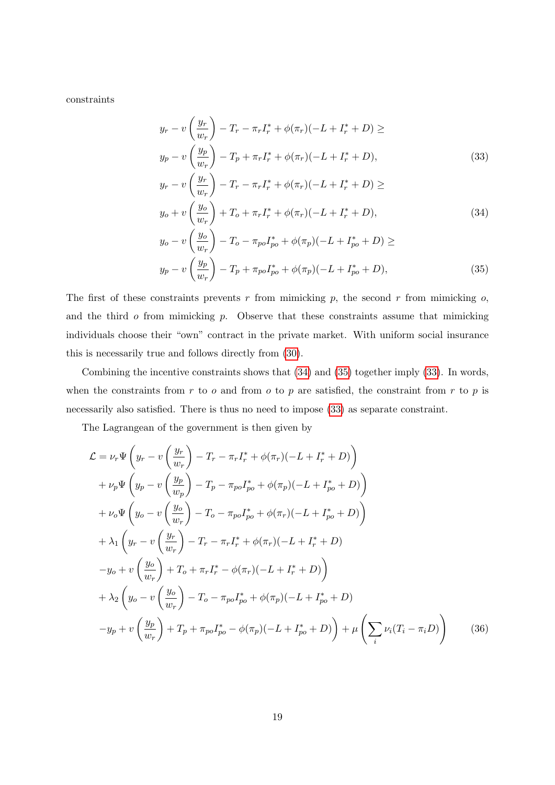constraints

<span id="page-21-2"></span>
$$
y_r - v\left(\frac{y_r}{w_r}\right) - T_r - \pi_r I_r^* + \phi(\pi_r)(-L + I_r^* + D) \ge
$$
  
\n
$$
y_p - v\left(\frac{y_p}{w_r}\right) - T_p + \pi_r I_r^* + \phi(\pi_r)(-L + I_r^* + D),
$$
  
\n
$$
v = v\left(\frac{y_r}{w_r}\right) - T_r = I_r^* + \phi(-)(-L + I_r^* + D) >
$$
\n(33)

<span id="page-21-0"></span>
$$
y_r - v\left(\frac{y_r}{w_r}\right) - T_r - \pi_r I_r^* + \phi(\pi_r)(-L + I_r^* + D) \ge
$$
  
\n
$$
y_o + v\left(\frac{y_o}{w_r}\right) + T_o + \pi_r I_r^* + \phi(\pi_r)(-L + I_r^* + D),
$$
  
\n
$$
y_o - v\left(\frac{y_o}{w_r}\right) - T_o - \pi_{po} I_{po}^* + \phi(\pi_p)(-L + I_{po}^* + D) \ge
$$
\n(34)

<span id="page-21-1"></span>
$$
y_p - v\left(\frac{y_p}{w_r}\right) - T_p + \pi_{po} I_{po}^* + \phi(\pi_p)(-L + I_{po}^* + D),\tag{35}
$$

The first of these constraints prevents  $r$  from mimicking  $p$ , the second  $r$  from mimicking  $o$ , and the third  $o$  from mimicking  $p$ . Observe that these constraints assume that mimicking individuals choose their "own" contract in the private market. With uniform social insurance this is necessarily true and follows directly from [\(30\)](#page-20-0).

Combining the incentive constraints shows that [\(34\)](#page-21-0) and [\(35\)](#page-21-1) together imply [\(33\)](#page-21-2). In words, when the constraints from  $r$  to  $o$  and from  $o$  to  $p$  are satisfied, the constraint from  $r$  to  $p$  is necessarily also satisfied. There is thus no need to impose [\(33\)](#page-21-2) as separate constraint.

The Lagrangean of the government is then given by

$$
\mathcal{L} = \nu_r \Psi \left( y_r - v \left( \frac{y_r}{w_r} \right) - T_r - \pi_r I_r^* + \phi(\pi_r)(-L + I_r^* + D) \right) \n+ \nu_p \Psi \left( y_p - v \left( \frac{y_p}{w_p} \right) - T_p - \pi_{po} I_{po}^* + \phi(\pi_p)(-L + I_{po}^* + D) \right) \n+ \nu_o \Psi \left( y_o - v \left( \frac{y_o}{w_r} \right) - T_o - \pi_{po} I_{po}^* + \phi(\pi_r)(-L + I_{po}^* + D) \right) \n+ \lambda_1 \left( y_r - v \left( \frac{y_r}{w_r} \right) - T_r - \pi_r I_r^* + \phi(\pi_r)(-L + I_r^* + D) \right) \n- y_o + v \left( \frac{y_o}{w_r} \right) + T_o + \pi_r I_r^* - \phi(\pi_r)(-L + I_r^* + D) \n+ \lambda_2 \left( y_o - v \left( \frac{y_o}{w_r} \right) - T_o - \pi_{po} I_{po}^* + \phi(\pi_p)(-L + I_{po}^* + D) \right) \n- y_p + v \left( \frac{y_p}{w_r} \right) + T_p + \pi_{po} I_{po}^* - \phi(\pi_p)(-L + I_{po}^* + D) \right) + \mu \left( \sum_i \nu_i (T_i - \pi_i D) \right)
$$
\n(36)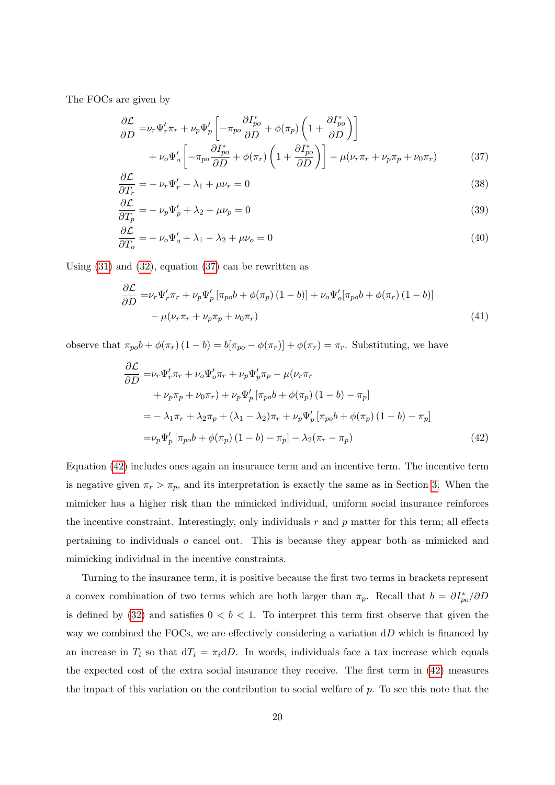The FOCs are given by

<span id="page-22-0"></span>
$$
\frac{\partial \mathcal{L}}{\partial D} = \nu_r \Psi'_r \pi_r + \nu_p \Psi'_p \left[ -\pi_{po} \frac{\partial I_{po}^*}{\partial D} + \phi(\pi_p) \left( 1 + \frac{\partial I_{po}^*}{\partial D} \right) \right] \n+ \nu_o \Psi'_o \left[ -\pi_{po} \frac{\partial I_{po}^*}{\partial D} + \phi(\pi_r) \left( 1 + \frac{\partial I_{po}^*}{\partial D} \right) \right] - \mu(\nu_r \pi_r + \nu_p \pi_p + \nu_0 \pi_r)
$$
\n(37)

$$
\frac{\partial \mathcal{L}}{\partial T_r} = -\nu_r \Psi'_r - \lambda_1 + \mu \nu_r = 0 \tag{38}
$$

$$
\frac{\partial \mathcal{L}}{\partial T_p} = -\nu_p \Psi_p' + \lambda_2 + \mu \nu_p = 0 \tag{39}
$$

$$
\frac{\partial \mathcal{L}}{\partial T_o} = -\nu_o \Psi_o' + \lambda_1 - \lambda_2 + \mu \nu_o = 0 \tag{40}
$$

Using  $(31)$  and  $(32)$ , equation  $(37)$  can be rewritten as

$$
\frac{\partial \mathcal{L}}{\partial D} = \nu_r \Psi'_r \pi_r + \nu_p \Psi'_p \left[ \pi_{po} b + \phi(\pi_p) (1 - b) \right] + \nu_o \Psi'_o [\pi_{po} b + \phi(\pi_r) (1 - b)] - \mu (\nu_r \pi_r + \nu_p \pi_p + \nu_0 \pi_r)
$$
\n(41)

observe that  $\pi_{po}b + \phi(\pi_r)(1-b) = b[\pi_{po} - \phi(\pi_r)] + \phi(\pi_r) = \pi_r$ . Substituting, we have

<span id="page-22-1"></span>
$$
\frac{\partial \mathcal{L}}{\partial D} = \nu_r \Psi'_r \pi_r + \nu_o \Psi'_o \pi_r + \nu_p \Psi'_p \pi_p - \mu(\nu_r \pi_r \n+ \nu_p \pi_p + \nu_0 \pi_r) + \nu_p \Psi'_p [\pi_{po} b + \phi(\pi_p) (1 - b) - \pi_p] \n= -\lambda_1 \pi_r + \lambda_2 \pi_p + (\lambda_1 - \lambda_2) \pi_r + \nu_p \Psi'_p [\pi_{po} b + \phi(\pi_p) (1 - b) - \pi_p] \n= \nu_p \Psi'_p [\pi_{po} b + \phi(\pi_p) (1 - b) - \pi_p] - \lambda_2 (\pi_r - \pi_p)
$$
\n(42)

Equation [\(42\)](#page-22-1) includes ones again an insurance term and an incentive term. The incentive term is negative given  $\pi_r > \pi_p$ , and its interpretation is exactly the same as in Section [3.](#page-9-0) When the mimicker has a higher risk than the mimicked individual, uniform social insurance reinforces the incentive constraint. Interestingly, only individuals  $r$  and  $p$  matter for this term; all effects pertaining to individuals o cancel out. This is because they appear both as mimicked and mimicking individual in the incentive constraints.

Turning to the insurance term, it is positive because the first two terms in brackets represent a convex combination of two terms which are both larger than  $\pi_p$ . Recall that  $b = \partial I_{po}^* / \partial D$ is defined by [\(32\)](#page-20-2) and satisfies  $0 < b < 1$ . To interpret this term first observe that given the way we combined the FOCs, we are effectively considering a variation  $dD$  which is financed by an increase in  $T_i$  so that  $dT_i = \pi_i dD$ . In words, individuals face a tax increase which equals the expected cost of the extra social insurance they receive. The first term in [\(42\)](#page-22-1) measures the impact of this variation on the contribution to social welfare of  $p$ . To see this note that the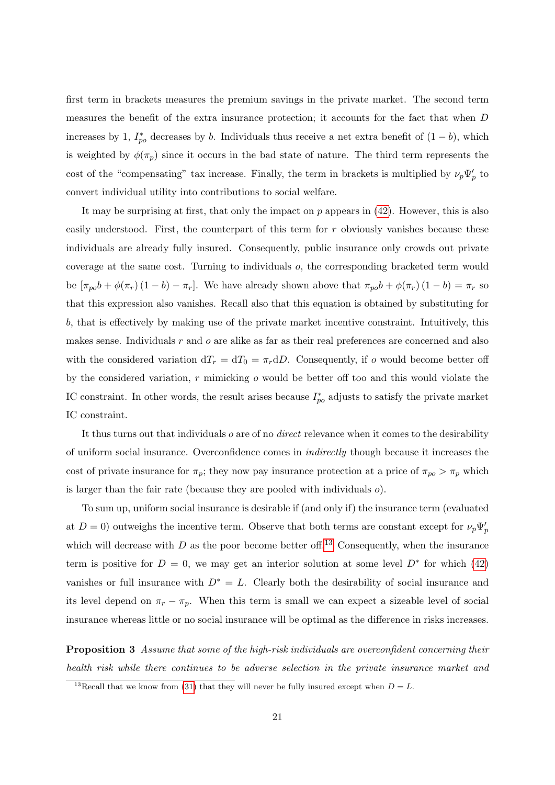first term in brackets measures the premium savings in the private market. The second term measures the benefit of the extra insurance protection; it accounts for the fact that when D increases by 1,  $I_{po}^*$  decreases by b. Individuals thus receive a net extra benefit of  $(1-b)$ , which is weighted by  $\phi(\pi_p)$  since it occurs in the bad state of nature. The third term represents the cost of the "compensating" tax increase. Finally, the term in brackets is multiplied by  $\nu_p\Psi'_p$  to convert individual utility into contributions to social welfare.

It may be surprising at first, that only the impact on  $p$  appears in  $(42)$ . However, this is also easily understood. First, the counterpart of this term for r obviously vanishes because these individuals are already fully insured. Consequently, public insurance only crowds out private coverage at the same cost. Turning to individuals o, the corresponding bracketed term would be  $[\pi_{po}b + \phi(\pi_r)(1-b) - \pi_r]$ . We have already shown above that  $\pi_{po}b + \phi(\pi_r)(1-b) = \pi_r$  so that this expression also vanishes. Recall also that this equation is obtained by substituting for b, that is effectively by making use of the private market incentive constraint. Intuitively, this makes sense. Individuals  $r$  and  $o$  are alike as far as their real preferences are concerned and also with the considered variation  $dT_r = dT_0 = \pi_r dD$ . Consequently, if o would become better off by the considered variation,  $r$  mimicking  $\sigma$  would be better off too and this would violate the IC constraint. In other words, the result arises because  $I_{po}^*$  adjusts to satisfy the private market IC constraint.

It thus turns out that individuals o are of no direct relevance when it comes to the desirability of uniform social insurance. Overconfidence comes in indirectly though because it increases the cost of private insurance for  $\pi_p$ ; they now pay insurance protection at a price of  $\pi_{po} > \pi_p$  which is larger than the fair rate (because they are pooled with individuals o).

To sum up, uniform social insurance is desirable if (and only if) the insurance term (evaluated at  $D = 0$ ) outweighs the incentive term. Observe that both terms are constant except for  $\nu_p \Psi_p'$ which will decrease with D as the poor become better of  $13$  Consequently, when the insurance term is positive for  $D = 0$ , we may get an interior solution at some level  $D^*$  for which [\(42\)](#page-22-1) vanishes or full insurance with  $D^* = L$ . Clearly both the desirability of social insurance and its level depend on  $\pi_r - \pi_p$ . When this term is small we can expect a sizeable level of social insurance whereas little or no social insurance will be optimal as the difference in risks increases.

**Proposition 3** Assume that some of the high-risk individuals are overconfident concerning their health risk while there continues to be adverse selection in the private insurance market and

<sup>&</sup>lt;sup>13</sup>Recall that we know from [\(31\)](#page-20-1) that they will never be fully insured except when  $D = L$ .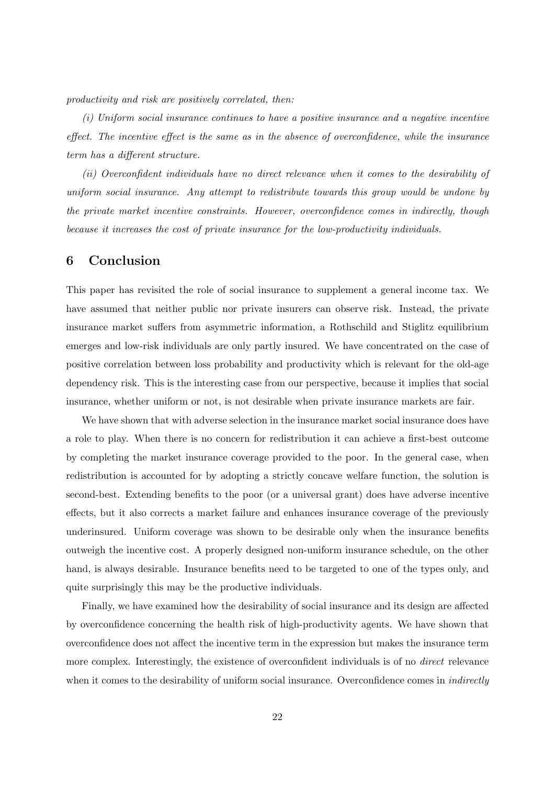productivity and risk are positively correlated, then:

(i) Uniform social insurance continues to have a positive insurance and a negative incentive effect. The incentive effect is the same as in the absence of overconfidence, while the insurance term has a different structure.

(ii) Overconfident individuals have no direct relevance when it comes to the desirability of uniform social insurance. Any attempt to redistribute towards this group would be undone by the private market incentive constraints. However, overconfidence comes in indirectly, though because it increases the cost of private insurance for the low-productivity individuals.

## 6 Conclusion

This paper has revisited the role of social insurance to supplement a general income tax. We have assumed that neither public nor private insurers can observe risk. Instead, the private insurance market suffers from asymmetric information, a Rothschild and Stiglitz equilibrium emerges and low-risk individuals are only partly insured. We have concentrated on the case of positive correlation between loss probability and productivity which is relevant for the old-age dependency risk. This is the interesting case from our perspective, because it implies that social insurance, whether uniform or not, is not desirable when private insurance markets are fair.

We have shown that with adverse selection in the insurance market social insurance does have a role to play. When there is no concern for redistribution it can achieve a first-best outcome by completing the market insurance coverage provided to the poor. In the general case, when redistribution is accounted for by adopting a strictly concave welfare function, the solution is second-best. Extending benefits to the poor (or a universal grant) does have adverse incentive effects, but it also corrects a market failure and enhances insurance coverage of the previously underinsured. Uniform coverage was shown to be desirable only when the insurance benefits outweigh the incentive cost. A properly designed non-uniform insurance schedule, on the other hand, is always desirable. Insurance benefits need to be targeted to one of the types only, and quite surprisingly this may be the productive individuals.

Finally, we have examined how the desirability of social insurance and its design are affected by overconfidence concerning the health risk of high-productivity agents. We have shown that overconfidence does not affect the incentive term in the expression but makes the insurance term more complex. Interestingly, the existence of overconfident individuals is of no *direct* relevance when it comes to the desirability of uniform social insurance. Overconfidence comes in *indirectly*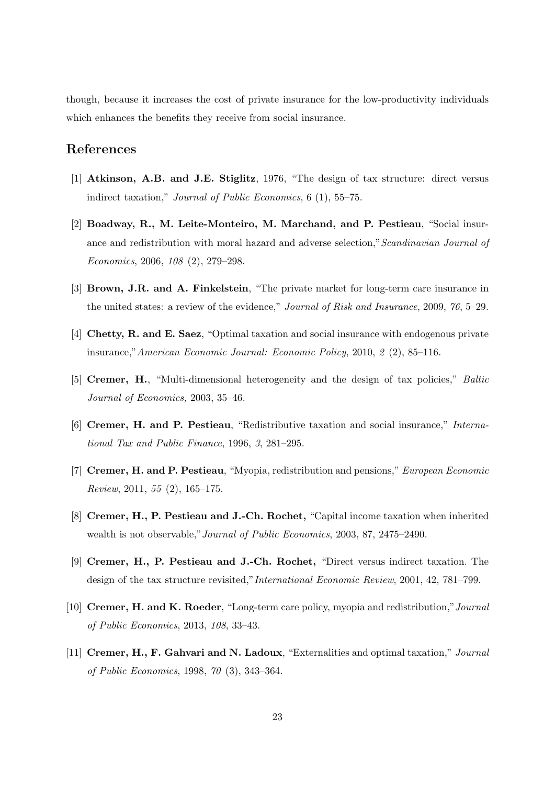though, because it increases the cost of private insurance for the low-productivity individuals which enhances the benefits they receive from social insurance.

## References

- [1] Atkinson, A.B. and J.E. Stiglitz, 1976, "The design of tax structure: direct versus indirect taxation," Journal of Public Economics, 6 (1), 55–75.
- [2] Boadway, R., M. Leite-Monteiro, M. Marchand, and P. Pestieau, "Social insurance and redistribution with moral hazard and adverse selection,"Scandinavian Journal of Economics, 2006, 108 (2), 279–298.
- [3] Brown, J.R. and A. Finkelstein, "The private market for long-term care insurance in the united states: a review of the evidence," Journal of Risk and Insurance, 2009, 76, 5–29.
- [4] Chetty, R. and E. Saez, "Optimal taxation and social insurance with endogenous private insurance,"American Economic Journal: Economic Policy, 2010, 2 (2), 85–116.
- [5] Cremer, H., "Multi-dimensional heterogeneity and the design of tax policies," Baltic Journal of Economics, 2003, 35–46.
- [6] Cremer, H. and P. Pestieau, "Redistributive taxation and social insurance," International Tax and Public Finance, 1996, 3, 281–295.
- [7] Cremer, H. and P. Pestieau, "Myopia, redistribution and pensions," European Economic Review, 2011, 55 (2), 165–175.
- [8] Cremer, H., P. Pestieau and J.-Ch. Rochet, "Capital income taxation when inherited wealth is not observable,"Journal of Public Economics, 2003, 87, 2475–2490.
- [9] Cremer, H., P. Pestieau and J.-Ch. Rochet, "Direct versus indirect taxation. The design of the tax structure revisited,"International Economic Review, 2001, 42, 781–799.
- [10] Cremer, H. and K. Roeder, "Long-term care policy, myopia and redistribution,"Journal of Public Economics, 2013, 108, 33–43.
- [11] Cremer, H., F. Gahvari and N. Ladoux, "Externalities and optimal taxation," Journal of Public Economics, 1998, 70 (3), 343–364.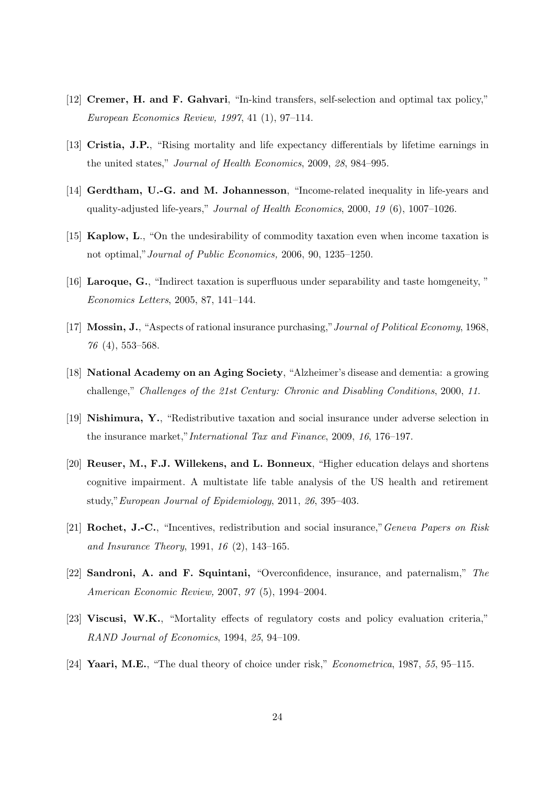- [12] Cremer, H. and F. Gahvari, "In-kind transfers, self-selection and optimal tax policy," European Economics Review, 1997, 41 (1), 97–114.
- [13] Cristia, J.P., "Rising mortality and life expectancy differentials by lifetime earnings in the united states," Journal of Health Economics, 2009, 28, 984–995.
- [14] Gerdtham, U.-G. and M. Johannesson, "Income-related inequality in life-years and quality-adjusted life-years," Journal of Health Economics, 2000, 19 (6), 1007–1026.
- [15] Kaplow, L., "On the undesirability of commodity taxation even when income taxation is not optimal,"Journal of Public Economics, 2006, 90, 1235–1250.
- [16] Laroque, G., "Indirect taxation is superfluous under separability and taste homgeneity, " Economics Letters, 2005, 87, 141–144.
- [17] Mossin, J., "Aspects of rational insurance purchasing,"Journal of Political Economy, 1968, 76 (4), 553–568.
- [18] National Academy on an Aging Society, "Alzheimer's disease and dementia: a growing challenge," Challenges of the 21st Century: Chronic and Disabling Conditions, 2000, 11.
- [19] Nishimura, Y., "Redistributive taxation and social insurance under adverse selection in the insurance market,"International Tax and Finance, 2009, 16, 176–197.
- [20] Reuser, M., F.J. Willekens, and L. Bonneux, "Higher education delays and shortens cognitive impairment. A multistate life table analysis of the US health and retirement study,"European Journal of Epidemiology, 2011, 26, 395–403.
- [21] Rochet, J.-C., "Incentives, redistribution and social insurance,"Geneva Papers on Risk and Insurance Theory, 1991, 16 (2), 143–165.
- [22] Sandroni, A. and F. Squintani, "Overconfidence, insurance, and paternalism," The American Economic Review, 2007, 97 (5), 1994–2004.
- [23] Viscusi, W.K., "Mortality effects of regulatory costs and policy evaluation criteria," RAND Journal of Economics, 1994, 25, 94–109.
- [24] Yaari, M.E., "The dual theory of choice under risk," *Econometrica*, 1987, 55, 95–115.